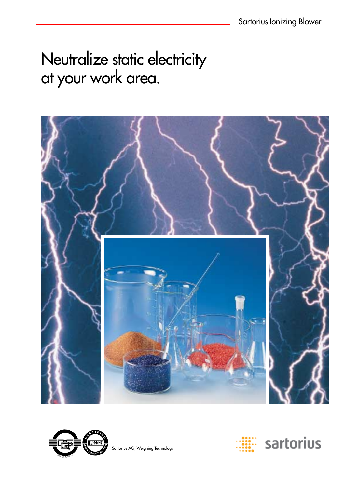# Neutralize static electricity at your work area.





Sartorius AG, Weighing Technology